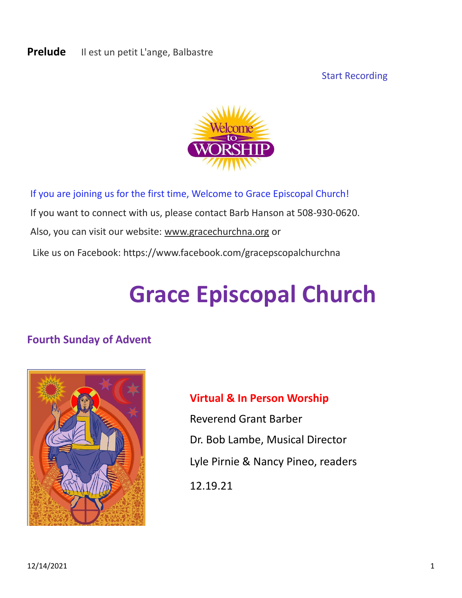#### **Prelude** Il est un petit L'ange, Balbastre

Start Recording



If you are joining us for the first time, Welcome to Grace Episcopal Church! If you want to connect with us, please contact Barb Hanson at 508-930-0620. Also, you can visit our website: [www.gracechurchna.org](http://www.gracechurchna.org/) or Like us on Facebook: https://www.facebook.com/gracepscopalchurchna

# **Grace Episcopal Church**

### **Fourth Sunday of Advent**



### **Virtual & In Person Worship**

Reverend Grant Barber Dr. Bob Lambe, Musical Director Lyle Pirnie & Nancy Pineo, readers 12.19.21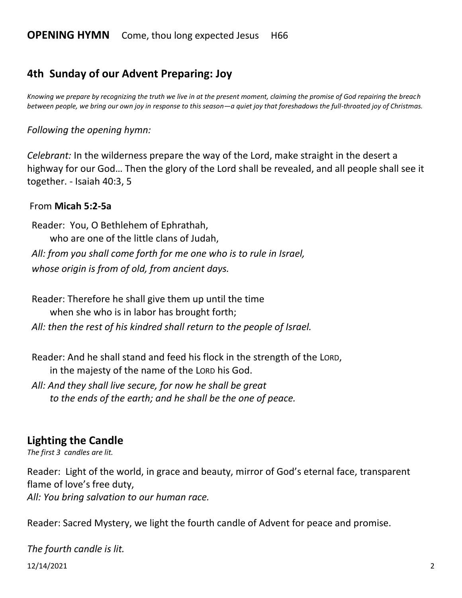### **4th Sunday of our Advent Preparing: Joy**

*Knowing we prepare by recognizing the truth we live in at the present moment, claiming the promise of God repairing the breach between people, we bring our own joy in response to this season—a quiet joy that foreshadows the full-throated joy of Christmas.*

#### *Following the opening hymn:*

*Celebrant:* In the wilderness prepare the way of the Lord, make straight in the desert a highway for our God… Then the glory of the Lord shall be revealed, and all people shall see it together. - Isaiah 40:3, 5

#### From **Micah 5:2-5a**

Reader: You, O Bethlehem of Ephrathah, who are one of the little clans of Judah, *All: from you shall come forth for me one who is to rule in Israel, whose origin is from of old, from ancient days.*

Reader: Therefore he shall give them up until the time when she who is in labor has brought forth;

*All: then the rest of his kindred shall return to the people of Israel.*

Reader: And he shall stand and feed his flock in the strength of the LORD, in the majesty of the name of the LORD his God.

*All: And they shall live secure, for now he shall be great to the ends of the earth; and he shall be the one of peace.*

#### **Lighting the Candle**

*The first 3 candles are lit.* 

Reader: Light of the world, in grace and beauty, mirror of God's eternal face, transparent flame of love's free duty, *All: You bring salvation to our human race.* 

Reader: Sacred Mystery, we light the fourth candle of Advent for peace and promise.

12/14/2021 2 *The fourth candle is lit.*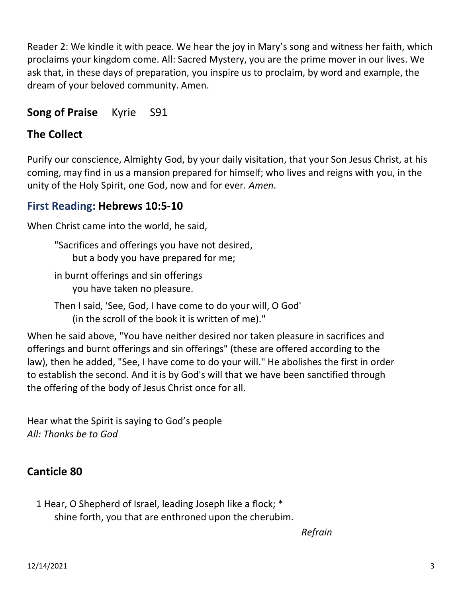Reader 2: We kindle it with peace. We hear the joy in Mary's song and witness her faith, which proclaims your kingdom come. All: Sacred Mystery, you are the prime mover in our lives. We ask that, in these days of preparation, you inspire us to proclaim, by word and example, the dream of your beloved community. Amen.

### **Song of Praise** Kyrie S91

### **The Collect**

Purify our conscience, Almighty God, by your daily visitation, that your Son Jesus Christ, at his coming, may find in us a mansion prepared for himself; who lives and reigns with you, in the unity of the Holy Spirit, one God, now and for ever. *Amen*.

### **First Reading: Hebrews 10:5-10**

When Christ came into the world, he said,

- "Sacrifices and offerings you have not desired, but a body you have prepared for me;
- in burnt offerings and sin offerings you have taken no pleasure.
- Then I said, 'See, God, I have come to do your will, O God' (in the scroll of the book it is written of me)."

When he said above, "You have neither desired nor taken pleasure in sacrifices and offerings and burnt offerings and sin offerings" (these are offered according to the law), then he added, "See, I have come to do your will." He abolishes the first in order to establish the second. And it is by God's will that we have been sanctified through the offering of the body of Jesus Christ once for all.

Hear what the Spirit is saying to God's people *All: Thanks be to God*

### **Canticle 80**

1 Hear, O Shepherd of Israel, leading Joseph like a flock; \* shine forth, you that are enthroned upon the cherubim.

*Refrain*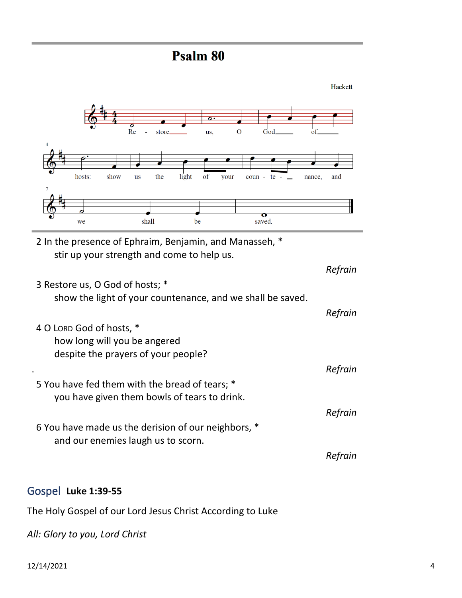### Psalm 80



2 In the presence of Ephraim, Benjamin, and Manasseh, \* stir up your strength and come to help us.

Re

 $\overline{u}$ s

show

hosts:

we

- *Refrain* 3 Restore us, O God of hosts; \* show the light of your countenance, and we shall be saved. *Refrain*
- 4 O LORD God of hosts, \* how long will you be angered despite the prayers of your people? . *Refrain*
- 5 You have fed them with the bread of tears; \* you have given them bowls of tears to drink. *Refrain*
- 6 You have made us the derision of our neighbors, \* and our enemies laugh us to scorn.

### *Refrain*

#### Gospel **Luke 1:39-55**

The Holy Gospel of our Lord Jesus Christ According to Luke

*All: Glory to you, Lord Christ*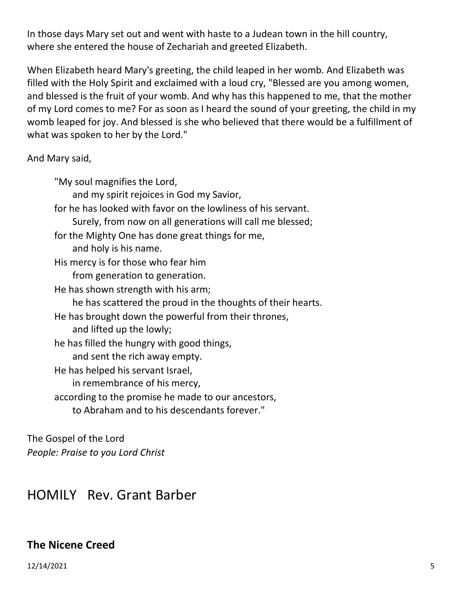In those days Mary set out and went with haste to a Judean town in the hill country, where she entered the house of Zechariah and greeted Elizabeth.

When Elizabeth heard Mary's greeting, the child leaped in her womb. And Elizabeth was filled with the Holy Spirit and exclaimed with a loud cry, "Blessed are you among women, and blessed is the fruit of your womb. And why has this happened to me, that the mother of my Lord comes to me? For as soon as I heard the sound of your greeting, the child in my womb leaped for joy. And blessed is she who believed that there would be a fulfillment of what was spoken to her by the Lord."

And Mary said,

"My soul magnifies the Lord, and my spirit rejoices in God my Savior, for he has looked with favor on the lowliness of his servant. Surely, from now on all generations will call me blessed; for the Mighty One has done great things for me, and holy is his name. His mercy is for those who fear him from generation to generation. He has shown strength with his arm; he has scattered the proud in the thoughts of their hearts. He has brought down the powerful from their thrones, and lifted up the lowly; he has filled the hungry with good things, and sent the rich away empty. He has helped his servant Israel, in remembrance of his mercy, according to the promise he made to our ancestors, to Abraham and to his descendants forever."

The Gospel of the Lord *People: Praise to you Lord Christ*

### HOMILY Rev. Grant Barber

### **The Nicene Creed**

12/14/2021 5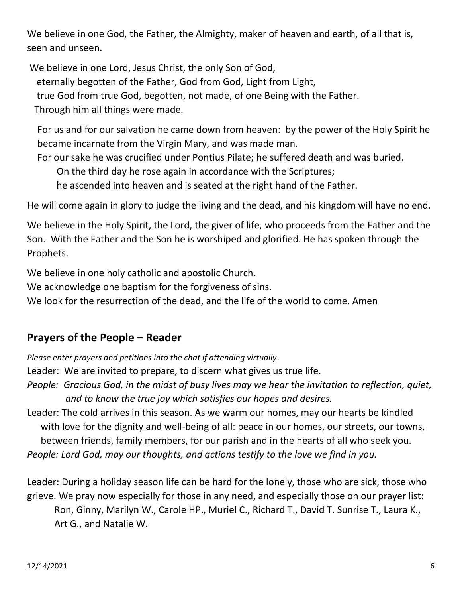We believe in one God, the Father, the Almighty, maker of heaven and earth, of all that is, seen and unseen.

We believe in one Lord, Jesus Christ, the only Son of God, eternally begotten of the Father, God from God, Light from Light, true God from true God, begotten, not made, of one Being with the Father. Through him all things were made.

For us and for our salvation he came down from heaven: by the power of the Holy Spirit he became incarnate from the Virgin Mary, and was made man.

For our sake he was crucified under Pontius Pilate; he suffered death and was buried.

On the third day he rose again in accordance with the Scriptures;

he ascended into heaven and is seated at the right hand of the Father.

He will come again in glory to judge the living and the dead, and his kingdom will have no end.

We believe in the Holy Spirit, the Lord, the giver of life, who proceeds from the Father and the Son. With the Father and the Son he is worshiped and glorified. He has spoken through the Prophets.

We believe in one holy catholic and apostolic Church.

We acknowledge one baptism for the forgiveness of sins.

We look for the resurrection of the dead, and the life of the world to come. Amen

### **Prayers of the People – Reader**

*Please enter prayers and petitions into the chat if attending virtually*.

Leader: We are invited to prepare, to discern what gives us true life.

- *People: Gracious God, in the midst of busy lives may we hear the invitation to reflection, quiet, and to know the true joy which satisfies our hopes and desires.*
- Leader: The cold arrives in this season. As we warm our homes, may our hearts be kindled with love for the dignity and well-being of all: peace in our homes, our streets, our towns, between friends, family members, for our parish and in the hearts of all who seek you. *People: Lord God, may our thoughts, and actions testify to the love we find in you.*

Leader: During a holiday season life can be hard for the lonely, those who are sick, those who grieve. We pray now especially for those in any need, and especially those on our prayer list: Ron, Ginny, Marilyn W., Carole HP., Muriel C., Richard T., David T. Sunrise T., Laura K., Art G., and Natalie W.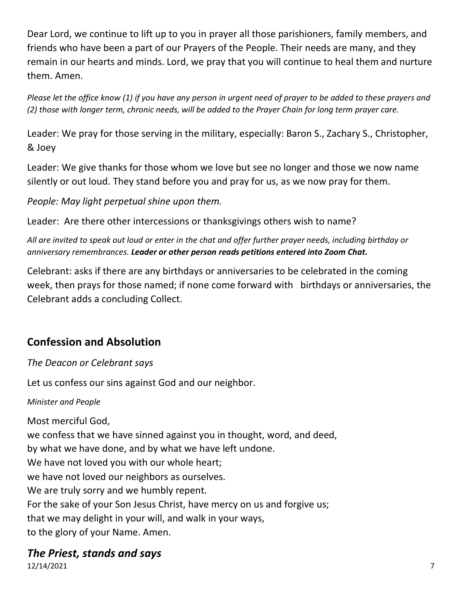Dear Lord, we continue to lift up to you in prayer all those parishioners, family members, and friends who have been a part of our Prayers of the People. Their needs are many, and they remain in our hearts and minds. Lord, we pray that you will continue to heal them and nurture them. Amen.

*Please let the office know (1) if you have any person in urgent need of prayer to be added to these prayers and (2) those with longer term, chronic needs, will be added to the Prayer Chain for long term prayer care.*

Leader: We pray for those serving in the military, especially: Baron S., Zachary S., Christopher, & Joey

Leader: We give thanks for those whom we love but see no longer and those we now name silently or out loud. They stand before you and pray for us, as we now pray for them.

*People: May light perpetual shine upon them.*

Leader: Are there other intercessions or thanksgivings others wish to name?

*All are invited to speak out loud or enter in the chat and offer further prayer needs, including birthday or anniversary remembrances. Leader or other person reads petitions entered into Zoom Chat.*

Celebrant: asks if there are any birthdays or anniversaries to be celebrated in the coming week, then prays for those named; if none come forward with birthdays or anniversaries, the Celebrant adds a concluding Collect.

### **Confession and Absolution**

*The Deacon or Celebrant says*

Let us confess our sins against God and our neighbor.

#### *Minister and People*

Most merciful God, we confess that we have sinned against you in thought, word, and deed, by what we have done, and by what we have left undone. We have not loved you with our whole heart; we have not loved our neighbors as ourselves. We are truly sorry and we humbly repent. For the sake of your Son Jesus Christ, have mercy on us and forgive us; that we may delight in your will, and walk in your ways, to the glory of your Name. Amen.

### *The Priest, stands and says*

12/14/2021 7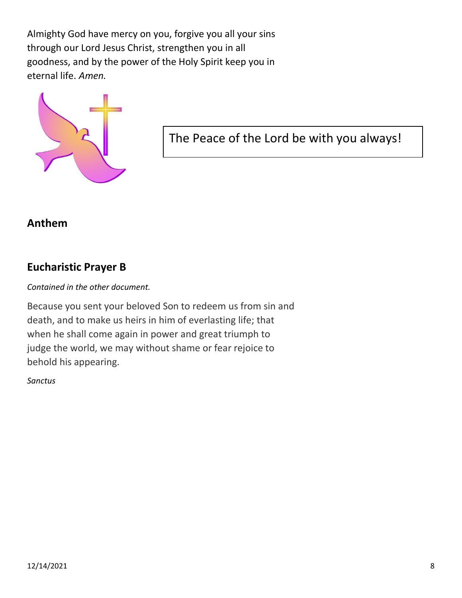Almighty God have mercy on you, forgive you all your sins through our Lord Jesus Christ, strengthen you in all goodness, and by the power of the Holy Spirit keep you in eternal life. *Amen.*



The Peace of the Lord be with you always!

#### **Anthem**

#### **Eucharistic Prayer B**

#### *Contained in the other document.*

Because you sent your beloved Son to redeem us from sin and death, and to make us heirs in him of everlasting life; that when he shall come again in power and great triumph to judge the world, we may without shame or fear rejoice to behold his appearing.

#### *Sanctus*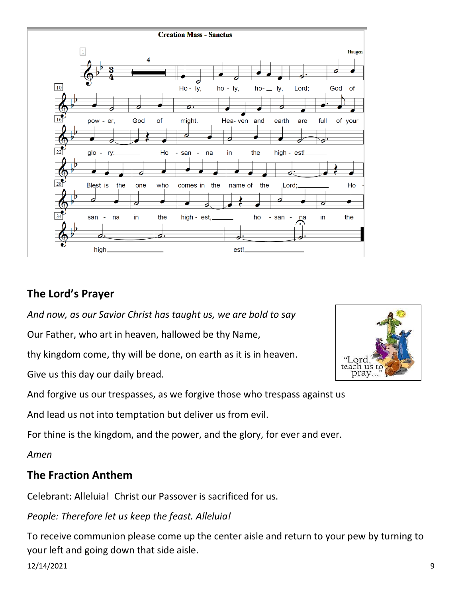

### **The Lord's Prayer**

*And now, as our Savior Christ has taught us, we are bold to say*

Our Father, who art in heaven, hallowed be thy Name,

thy kingdom come, thy will be done, on earth as it is in heaven.

Give us this day our daily bread.

And forgive us our trespasses, as we forgive those who trespass against us

And lead us not into temptation but deliver us from evil.

For thine is the kingdom, and the power, and the glory, for ever and ever.

*Amen*

### **The Fraction Anthem**

Celebrant: Alleluia! Christ our Passover is sacrificed for us.

*People: Therefore let us keep the feast. Alleluia!* 

12/14/2021 9 To receive communion please come up the center aisle and return to your pew by turning to your left and going down that side aisle.

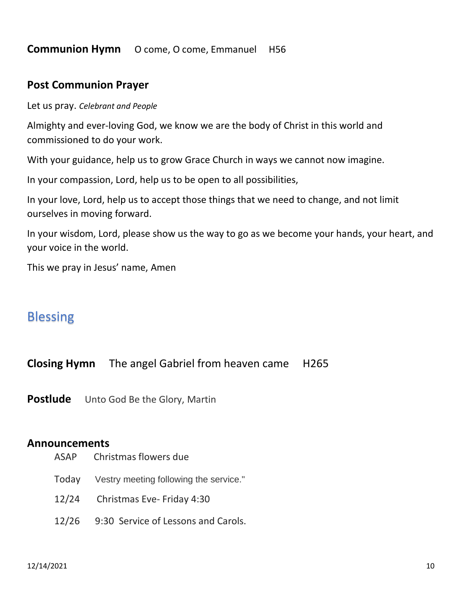#### **Communion Hymn** O come, O come, EmmanuelH56

#### **Post Communion Prayer**

Let us pray. *Celebrant and People*

Almighty and ever-loving God, we know we are the body of Christ in this world and commissioned to do your work.

With your guidance, help us to grow Grace Church in ways we cannot now imagine.

In your compassion, Lord, help us to be open to all possibilities,

In your love, Lord, help us to accept those things that we need to change, and not limit ourselves in moving forward.

In your wisdom, Lord, please show us the way to go as we become your hands, your heart, and your voice in the world.

This we pray in Jesus' name, Amen

### Blessing

**Closing Hymn** The angel Gabriel from heaven came H265

**Postlude** Unto God Be the Glory, Martin

#### **Announcements**

- ASAP Christmas flowers due
- Today Vestry meeting following the service."
- 12/24 Christmas Eve- Friday 4:30
- 12/26 9:30 Service of Lessons and Carols.